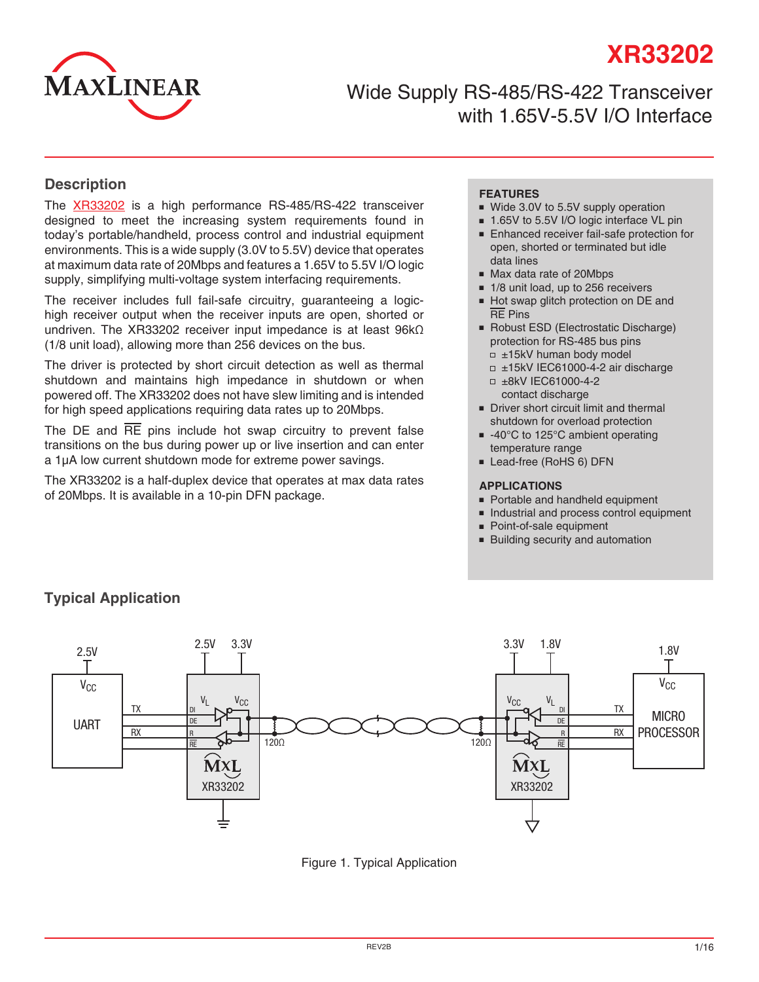

Wide Supply RS-485/RS-422 Transceiver with 1.65V-5.5V I/O Interface

### **Description**

The [XR33202](http://www.exar.com/XR33202) is a high performance RS-485/RS-422 transceiver designed to meet the increasing system requirements found in today's portable/handheld, process control and industrial equipment environments. This is a wide supply (3.0V to 5.5V) device that operates at maximum data rate of 20Mbps and features a 1.65V to 5.5V I/O logic supply, simplifying multi-voltage system interfacing requirements.

The receiver includes full fail-safe circuitry, guaranteeing a logichigh receiver output when the receiver inputs are open, shorted or undriven. The XR33202 receiver input impedance is at least 96kΩ (1/8 unit load), allowing more than 256 devices on the bus.

The driver is protected by short circuit detection as well as thermal shutdown and maintains high impedance in shutdown or when powered off. The XR33202 does not have slew limiting and is intended for high speed applications requiring data rates up to 20Mbps.

The DE and RE pins include hot swap circuitry to prevent false transitions on the bus during power up or live insertion and can enter a 1µA low current shutdown mode for extreme power savings.

The XR33202 is a half-duplex device that operates at max data rates of 20Mbps. It is available in a 10-pin DFN package.

### **FEATURES**

- Wide 3.0V to 5.5V supply operation
- 1.65V to 5.5V I/O logic interface VL pin
- Enhanced receiver fail-safe protection for open, shorted or terminated but idle data lines
- Max data rate of 20Mbps
- 1/8 unit load, up to 256 receivers
- Hot swap glitch protection on DE and RE Pins
- Robust ESD (Electrostatic Discharge) protection for RS-485 bus pins □ ±15kV human body model
	- ±15kV IEC61000-4-2 air discharge ±8kV IEC61000-4-2
	- contact discharge
- Driver short circuit limit and thermal shutdown for overload protection
- -40°C to 125°C ambient operating temperature range
- Lead-free (RoHS 6) DFN

#### **APPLICATIONS**

- Portable and handheld equipment
- Industrial and process control equipment
- Point-of-sale equipment
- Building security and automation



# **Typical Application**

Figure 1. Typical Application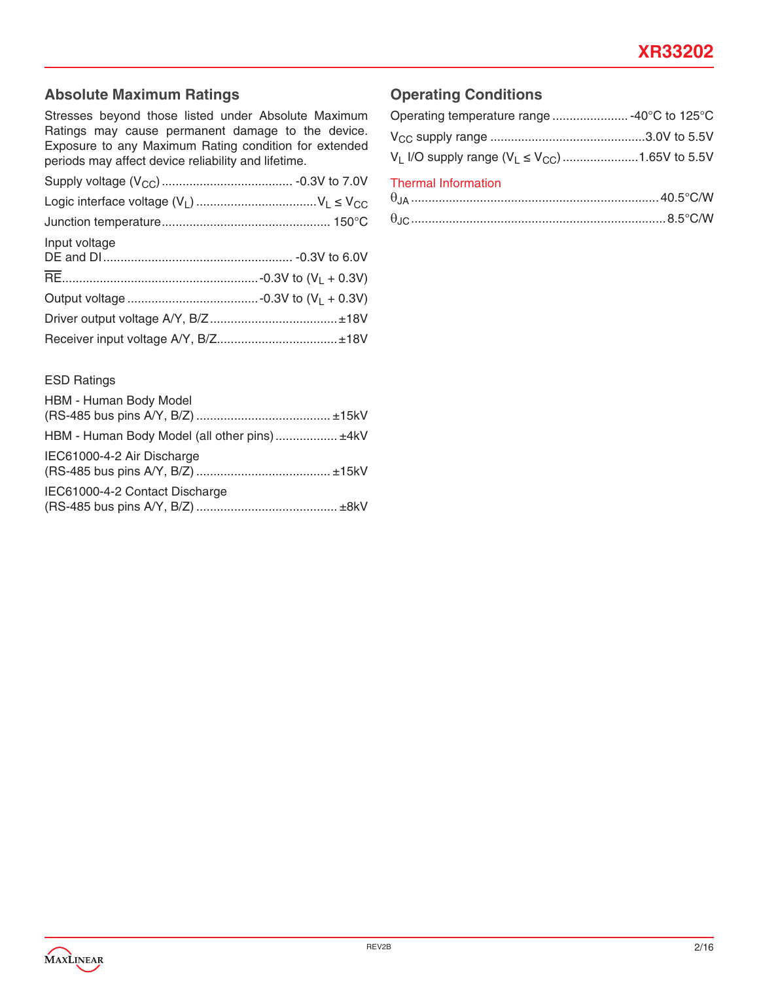# **Absolute Maximum Ratings**

Stresses beyond those listed under Absolute Maximum Ratings may cause permanent damage to the device. Exposure to any Maximum Rating condition for extended periods may affect device reliability and lifetime.

| Input voltage |  |
|---------------|--|
|               |  |
|               |  |
|               |  |
|               |  |

# **Operating Conditions**

| Operating temperature range  -40°C to 125°C               |  |
|-----------------------------------------------------------|--|
|                                                           |  |
| $V_L$ I/O supply range ( $V_L \le V_{CC}$ ) 1.65V to 5.5V |  |
| <b>Thermal Information</b>                                |  |

θJC ..........................................................................8.5°C/W

### ESD Ratings

| HBM - Human Body Model                       |  |
|----------------------------------------------|--|
| HBM - Human Body Model (all other pins) ±4kV |  |
| IEC61000-4-2 Air Discharge                   |  |
| IEC61000-4-2 Contact Discharge               |  |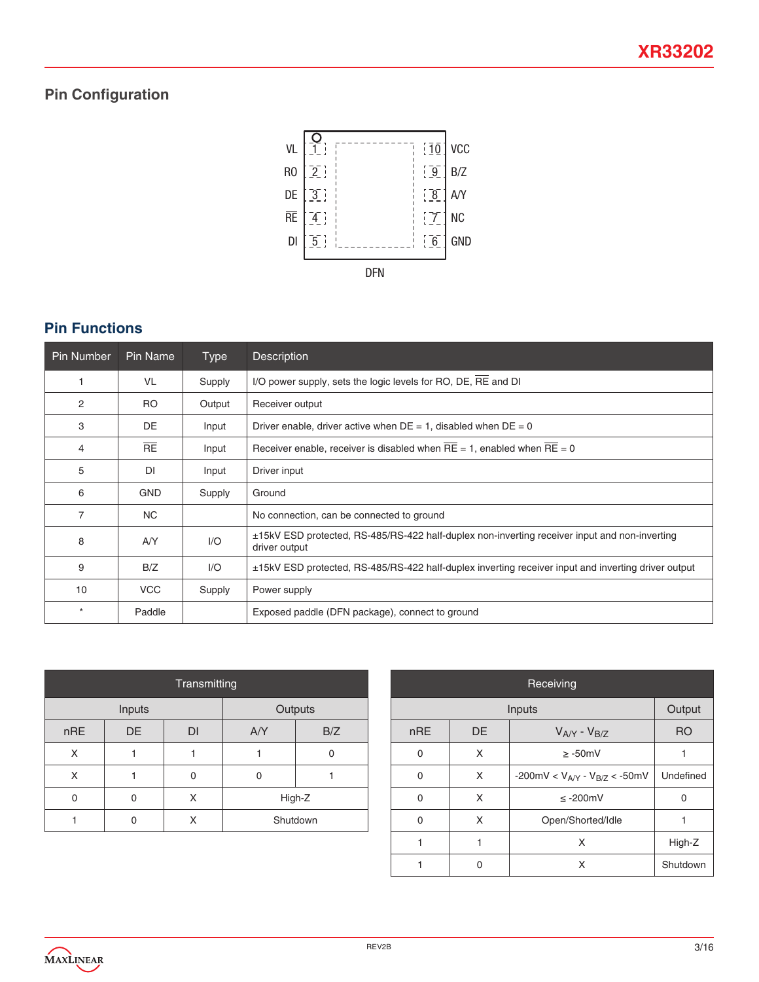# **Pin Configuration**



# **Pin Functions**

| <b>Pin Number</b> | Pin Name   | <b>Type</b> | <b>Description</b>                                                                                                  |
|-------------------|------------|-------------|---------------------------------------------------------------------------------------------------------------------|
|                   | <b>VL</b>  | Supply      | I/O power supply, sets the logic levels for RO, DE, RE and DI                                                       |
| 2                 | <b>RO</b>  | Output      | Receiver output                                                                                                     |
| 3                 | DE.        | Input       | Driver enable, driver active when $DE = 1$ , disabled when $DE = 0$                                                 |
| 4                 | RE         | Input       | Receiver enable, receiver is disabled when $RE = 1$ , enabled when $RE = 0$                                         |
| 5                 | DI         | Input       | Driver input                                                                                                        |
| 6                 | <b>GND</b> | Supply      | Ground                                                                                                              |
| 7                 | <b>NC</b>  |             | No connection, can be connected to ground                                                                           |
| 8                 | A/Y        | 1/O         | $\pm$ 15kV ESD protected, RS-485/RS-422 half-duplex non-inverting receiver input and non-inverting<br>driver output |
| 9                 | B/Z        | 1/O         | ±15kV ESD protected, RS-485/RS-422 half-duplex inverting receiver input and inverting driver output                 |
| 10                | <b>VCC</b> | Supply      | Power supply                                                                                                        |
| $\star$           | Paddle     |             | Exposed paddle (DFN package), connect to ground                                                                     |

| Transmitting      |    |    |          |     |  |  |
|-------------------|----|----|----------|-----|--|--|
| Outputs<br>Inputs |    |    |          |     |  |  |
| nRE               | DE | DI | AYY      | B/Z |  |  |
| X                 |    |    |          |     |  |  |
| x                 |    | 0  | 0        |     |  |  |
| $\Omega$          | 0  | X  | High-Z   |     |  |  |
|                   |    | Χ  | Shutdown |     |  |  |

| Receiving |        |                                        |                |  |  |  |  |
|-----------|--------|----------------------------------------|----------------|--|--|--|--|
|           | Inputs |                                        |                |  |  |  |  |
| nRE       | DE     | $V_{AY}$ - $V_{B/Z}$                   | R <sub>O</sub> |  |  |  |  |
| $\Omega$  | X      | $\geq -50$ mV                          | 1              |  |  |  |  |
| $\Omega$  | X      | -200mV < $V_{A/Y}$ - $V_{B/Z}$ < -50mV | Undefined      |  |  |  |  |
| $\Omega$  | X      | $\leq$ -200mV                          | O              |  |  |  |  |
| ∩         | X      | Open/Shorted/Idle                      |                |  |  |  |  |
|           | X      |                                        | High-Z         |  |  |  |  |
|           |        | X                                      | Shutdown       |  |  |  |  |

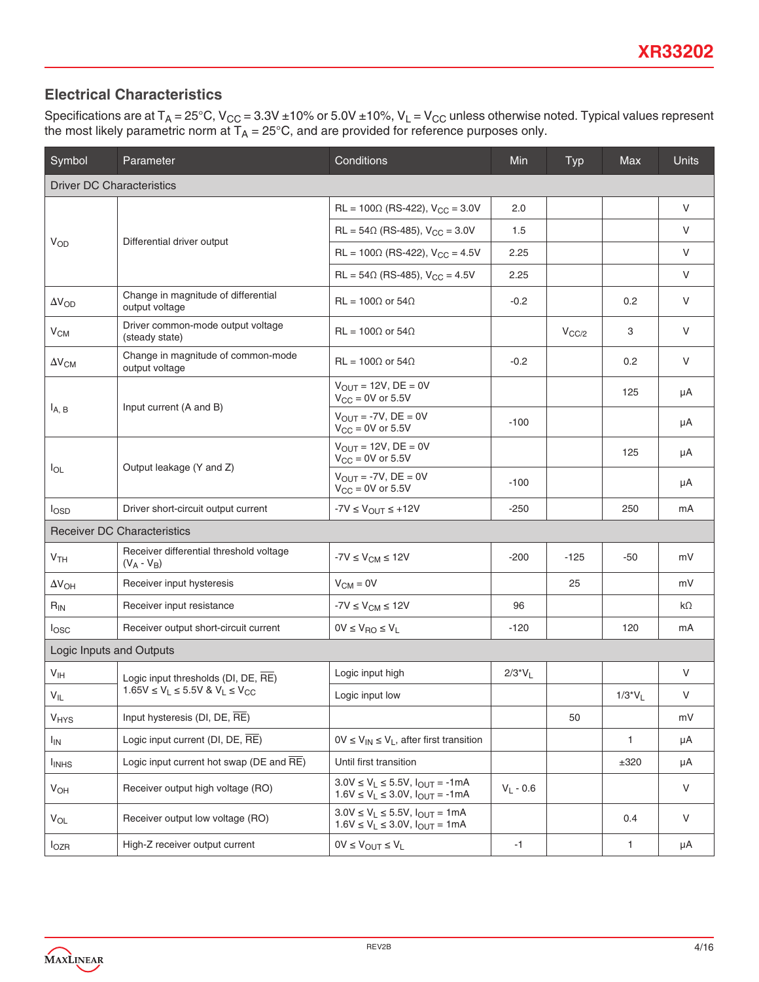# **Electrical Characteristics**

Specifications are at T<sub>A</sub> = 25°C, V<sub>CC</sub> = 3.3V ±10% or 5.0V ±10%, V<sub>L</sub> = V<sub>CC</sub> unless otherwise noted. Typical values represent the most likely parametric norm at  $T_\mathsf{A}$  = 25°C, and are provided for reference purposes only.

| Symbol                   | Parameter                                                 | Conditions                                                                               | <b>Min</b>  | Typ        | Max          | <b>Units</b> |  |  |
|--------------------------|-----------------------------------------------------------|------------------------------------------------------------------------------------------|-------------|------------|--------------|--------------|--|--|
|                          | <b>Driver DC Characteristics</b>                          |                                                                                          |             |            |              |              |  |  |
|                          |                                                           | $RL = 100 \Omega$ (RS-422), $V_{CC} = 3.0 V$                                             | 2.0         |            |              | V            |  |  |
| $V_{OD}$                 | Differential driver output                                | $RL = 54\Omega$ (RS-485), $V_{CC} = 3.0V$                                                | 1.5         |            |              | V            |  |  |
|                          |                                                           | $RL = 100 \Omega$ (RS-422), $V_{CC} = 4.5V$                                              | 2.25        |            |              | V            |  |  |
|                          |                                                           | $RL = 54\Omega$ (RS-485), $V_{CC} = 4.5V$                                                | 2.25        |            |              | V            |  |  |
| $\Delta V_{OD}$          | Change in magnitude of differential<br>output voltage     | $RL = 100\Omega$ or 54 $\Omega$                                                          | $-0.2$      |            | 0.2          | V            |  |  |
| $V_{CM}$                 | Driver common-mode output voltage<br>(steady state)       | $RL = 100\Omega$ or 54 $\Omega$                                                          |             | $V_{CC/2}$ | 3            | V            |  |  |
| $\Delta V_{\text{CM}}$   | Change in magnitude of common-mode<br>output voltage      | $RL = 100\Omega$ or 54 $\Omega$                                                          | $-0.2$      |            | 0.2          | $\vee$       |  |  |
|                          | Input current (A and B)                                   | $V_{\text{OUT}} = 12V$ , DE = 0V<br>$V_{CC}$ = 0V or 5.5V                                |             |            | 125          | μA           |  |  |
| $I_{A,B}$                |                                                           | $V_{\text{OUT}} = -7V$ , DE = 0V<br>$V_{CC}$ = 0V or 5.5V                                | $-100$      |            |              | μA           |  |  |
|                          |                                                           | $V_{OUT}$ = 12V, DE = 0V<br>$V_{CC}$ = 0V or 5.5V                                        |             |            | 125          | μA           |  |  |
| $I_{OL}$                 | Output leakage (Y and Z)                                  | $V_{\text{OUT}} = -7V$ , DE = 0V<br>$V_{CC}$ = 0V or 5.5V                                | $-100$      |            |              | μA           |  |  |
| $I_{\text{OSD}}$         | Driver short-circuit output current                       | $-7V \leq V_{OUT} \leq +12V$                                                             | $-250$      |            | 250          | mA           |  |  |
|                          | <b>Receiver DC Characteristics</b>                        |                                                                                          |             |            |              |              |  |  |
| V <sub>TH</sub>          | Receiver differential threshold voltage<br>$(V_A - V_B)$  | $-7V \leq V_{CM} \leq 12V$                                                               | $-200$      | $-125$     | -50          | mV           |  |  |
| $\Delta V_{OH}$          | Receiver input hysteresis                                 | $V_{CM} = 0V$                                                                            |             | 25         |              | mV           |  |  |
| $R_{IN}$                 | Receiver input resistance                                 | $-7V \leq V_{CM} \leq 12V$                                                               | 96          |            |              | $k\Omega$    |  |  |
| $I_{\text{OSC}}$         | Receiver output short-circuit current                     | $0V \leq V_{\text{RO}} \leq V_{\text{L}}$                                                | $-120$      |            | 120          | mA           |  |  |
| Logic Inputs and Outputs |                                                           |                                                                                          |             |            |              |              |  |  |
| V <sub>IH</sub>          | Logic input thresholds (DI, DE, RE)                       | Logic input high                                                                         | $2/3^*V_L$  |            |              | V            |  |  |
| $V_{IL}$                 | $1.65V \le V_L \le 5.5V$ & $V_L \le V_{CC}$               | Logic input low                                                                          |             |            | $1/3*V_L$    | $\vee$       |  |  |
| <b>V<sub>HYS</sub></b>   | Input hysteresis (DI, DE, $\overline{RE}$ )               |                                                                                          |             | 50         |              | mV           |  |  |
| <sub>IN</sub>            | Logic input current (DI, DE, RE)                          | $0V \le V_{IN} \le V_L$ , after first transition                                         |             |            | $\mathbf{1}$ | μA           |  |  |
| <b>I</b> <sub>INHS</sub> | Logic input current hot swap ( $DE$ and $\overline{RE}$ ) | Until first transition                                                                   |             |            | $\pm 320$    | μA           |  |  |
| V <sub>OH</sub>          | Receiver output high voltage (RO)                         | $3.0V \le V_L \le 5.5V$ , $I_{OUT} = -1mA$<br>$1.6V \le V_L \le 3.0V$ , $I_{OUT} = -1mA$ | $V_L - 0.6$ |            |              | $\vee$       |  |  |
| $V_{OL}$                 | Receiver output low voltage (RO)                          | $3.0V \le V_L \le 5.5V$ , $I_{OUT} = 1mA$<br>$1.6V \le V_L \le 3.0V$ , $I_{OUT} = 1mA$   |             |            | 0.4          | $\vee$       |  |  |
| $I_{OZR}$                | High-Z receiver output current                            | $0V \leq V_{OUT} \leq V_L$                                                               | $-1$        |            | $\mathbf{1}$ | μA           |  |  |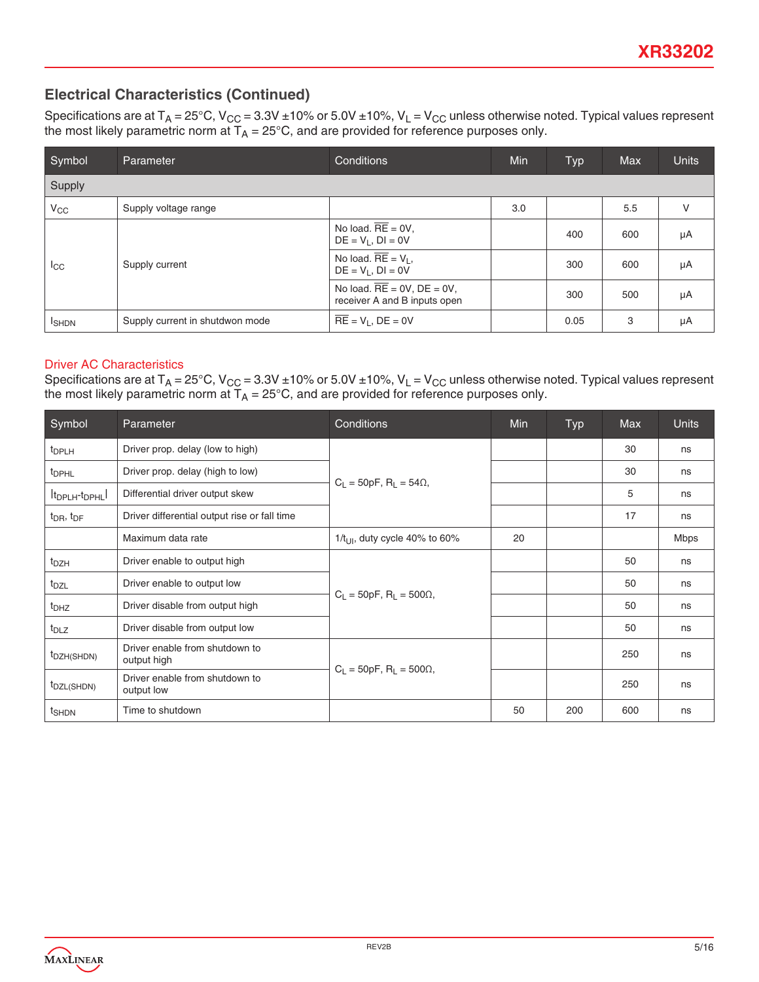### **Electrical Characteristics (Continued)**

Specifications are at T<sub>A</sub> = 25°C, V<sub>CC</sub> = 3.3V ±10% or 5.0V ±10%, V<sub>L</sub> = V<sub>CC</sub> unless otherwise noted. Typical values represent the most likely parametric norm at  $T_\mathsf{A}$  = 25°C, and are provided for reference purposes only.

| Symbol        | Parameter                       | Conditions                                                       | Min | <b>Typ</b> | <b>Max</b> | <b>Units</b> |
|---------------|---------------------------------|------------------------------------------------------------------|-----|------------|------------|--------------|
| Supply        |                                 |                                                                  |     |            |            |              |
| $V_{CC}$      | Supply voltage range            |                                                                  | 3.0 |            | 5.5        | V            |
|               |                                 | No load. $RE = 0V$ ,<br>$DE = V_1$ , $DI = 0V$                   |     | 400        | 600        | μA           |
| $_{\rm{ICC}}$ | Supply current                  | No load. $\overline{RE} = V_L$ ,<br>$DE = V1$ , $DI = OV$        |     | 300        | 600        | μA           |
|               |                                 | No load. $RE = 0V$ , $DE = 0V$ ,<br>receiver A and B inputs open |     | 300        | 500        | μA           |
| <b>I</b> SHDN | Supply current in shutdwon mode | $\overline{RE} = V_L$ , $DE = 0V$                                |     | 0.05       | 3          | μA           |

### Driver AC Characteristics

Specifications are at  $T_A = 25^{\circ}C$ ,  $V_{CC} = 3.3V \pm 10\%$  or 5.0V  $\pm 10\%$ ,  $V_L = V_{CC}$  unless otherwise noted. Typical values represent the most likely parametric norm at  $T_A = 25^{\circ}C$ , and are provided for reference purposes only.

| Symbol                                  | Parameter                                     | Conditions                                     | Min | <b>Typ</b> | <b>Max</b> | <b>Units</b> |
|-----------------------------------------|-----------------------------------------------|------------------------------------------------|-----|------------|------------|--------------|
| t <sub>DPLH</sub>                       | Driver prop. delay (low to high)              |                                                |     |            | 30         | ns           |
| <sup>t</sup> DPHL                       | Driver prop. delay (high to low)              |                                                |     |            | 30         | ns           |
| It <sub>DPLH</sub> -t <sub>DPHL</sub> I | Differential driver output skew               | $C_L = 50pF$ , $R_L = 54\Omega$ ,              |     |            | 5          | ns           |
| $t_{\text{DR}}$ , $t_{\text{DF}}$       | Driver differential output rise or fall time  |                                                |     |            | 17         | ns           |
|                                         | Maximum data rate                             | $1/t_{\text{U}}$ , duty cycle 40% to 60%       | 20  |            |            | Mbps         |
| t <sub>DZH</sub>                        | Driver enable to output high                  |                                                |     |            | 50         | ns           |
| t <sub>DZL</sub>                        | Driver enable to output low                   | $C_1 = 50pF$ , R <sub>1</sub> = 500 $\Omega$ , |     |            | 50         | ns           |
| t <sub>DHZ</sub>                        | Driver disable from output high               |                                                |     |            | 50         | ns           |
| $t_{DLZ}$                               | Driver disable from output low                |                                                |     |            | 50         | ns           |
| t <sub>DZH(SHDN)</sub>                  | Driver enable from shutdown to<br>output high |                                                |     |            | 250        | ns           |
| t <sub>DZL</sub> (SHDN)                 | Driver enable from shutdown to<br>output low  | $C_L = 50pF$ , $R_L = 500\Omega$ ,             |     |            | 250        | ns           |
| t <sub>SHDN</sub>                       | Time to shutdown                              |                                                | 50  | 200        | 600        | ns           |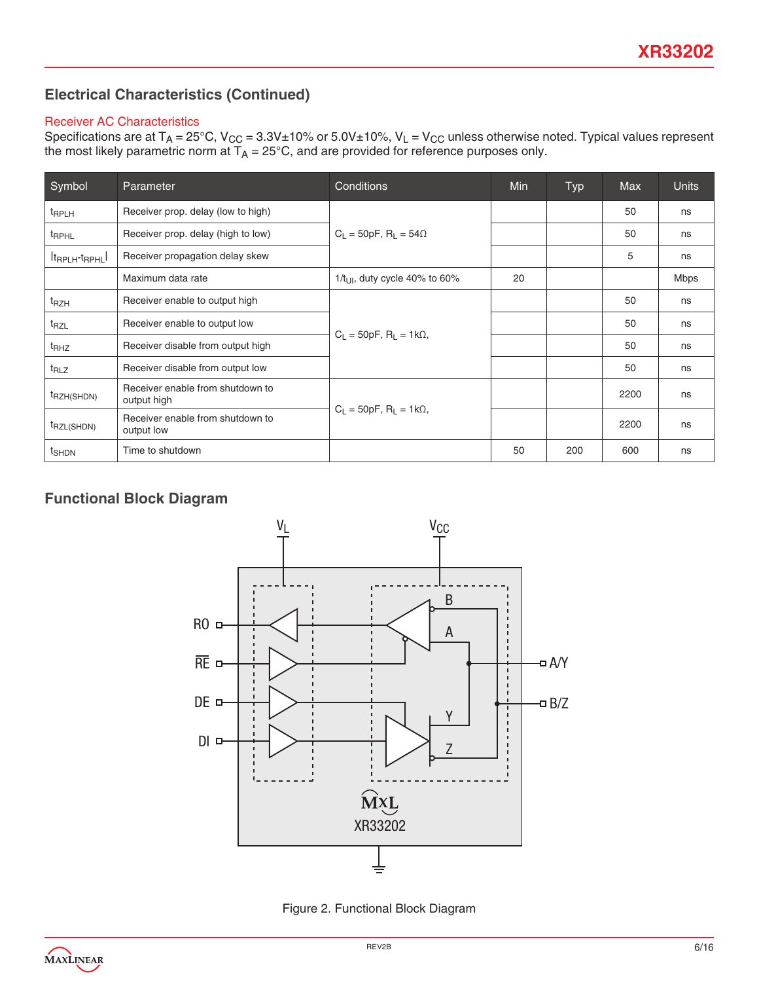## **Electrical Characteristics (Continued)**

### Receiver AC Characteristics

Specifications are at T<sub>A</sub> = 25°C, V<sub>CC</sub> = 3.3V±10% or 5.0V±10%, V<sub>L</sub> = V<sub>CC</sub> unless otherwise noted. Typical values represent the most likely parametric norm at  $T_\mathsf{A}$  = 25°C, and are provided for reference purposes only.

| Symbol                                | Parameter                                       | Conditions                                  | <b>Min</b> | Typ | <b>Max</b> | <b>Units</b> |
|---------------------------------------|-------------------------------------------------|---------------------------------------------|------------|-----|------------|--------------|
| <sup>t</sup> RPLH                     | Receiver prop. delay (low to high)              |                                             |            |     | 50         | ns           |
| <sup>t</sup> RPHL                     | Receiver prop. delay (high to low)              | $C_1 = 50pF$ , R <sub>1</sub> = 54 $\Omega$ |            |     | 50         | ns           |
| It <sub>RPLH</sub> -t <sub>RPHL</sub> | Receiver propagation delay skew                 |                                             |            |     | 5          | ns           |
|                                       | Maximum data rate                               | $1/t_{\text{U}}$ , duty cycle 40% to 60%    | 20         |     |            | <b>Mbps</b>  |
| t <sub>RZH</sub>                      | Receiver enable to output high                  |                                             |            |     | 50         | ns           |
| t <sub>RZL</sub>                      | Receiver enable to output low                   |                                             |            |     | 50         | ns           |
| t <sub>RHZ</sub>                      | Receiver disable from output high               | $C_1 = 50pF$ , $R_1 = 1k\Omega$ ,           |            |     | 50         | ns           |
| t <sub>RLZ</sub>                      | Receiver disable from output low                |                                             |            |     | 50         | ns           |
| t <sub>RZH</sub> (SHDN)               | Receiver enable from shutdown to<br>output high |                                             |            |     | 2200       | ns           |
| t <sub>RZL(SHDN)</sub>                | Receiver enable from shutdown to<br>output low  | $C_1 = 50pF$ , $R_1 = 1k\Omega$ ,           |            |     | 2200       | ns           |
| t <sub>SHDN</sub>                     | Time to shutdown                                |                                             | 50         | 200 | 600        | ns           |

# **Functional Block Diagram**



Figure 2. Functional Block Diagram

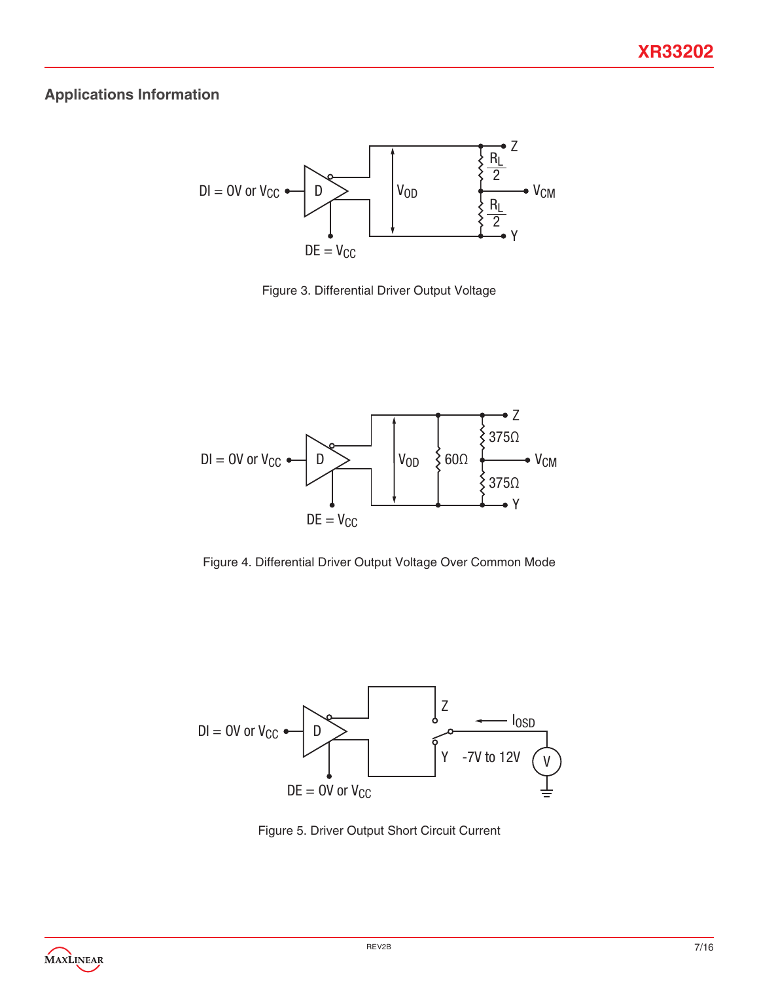### **Applications Information**



Figure 3. Differential Driver Output Voltage



Figure 4. Differential Driver Output Voltage Over Common Mode



Figure 5. Driver Output Short Circuit Current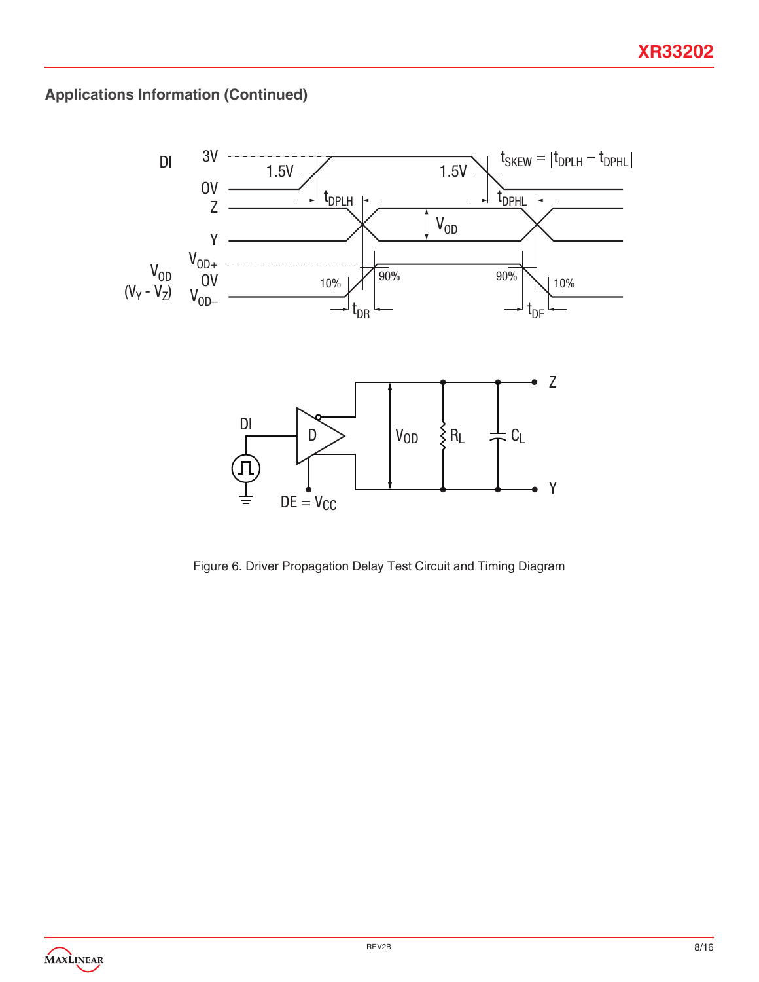

Figure 6. Driver Propagation Delay Test Circuit and Timing Diagram

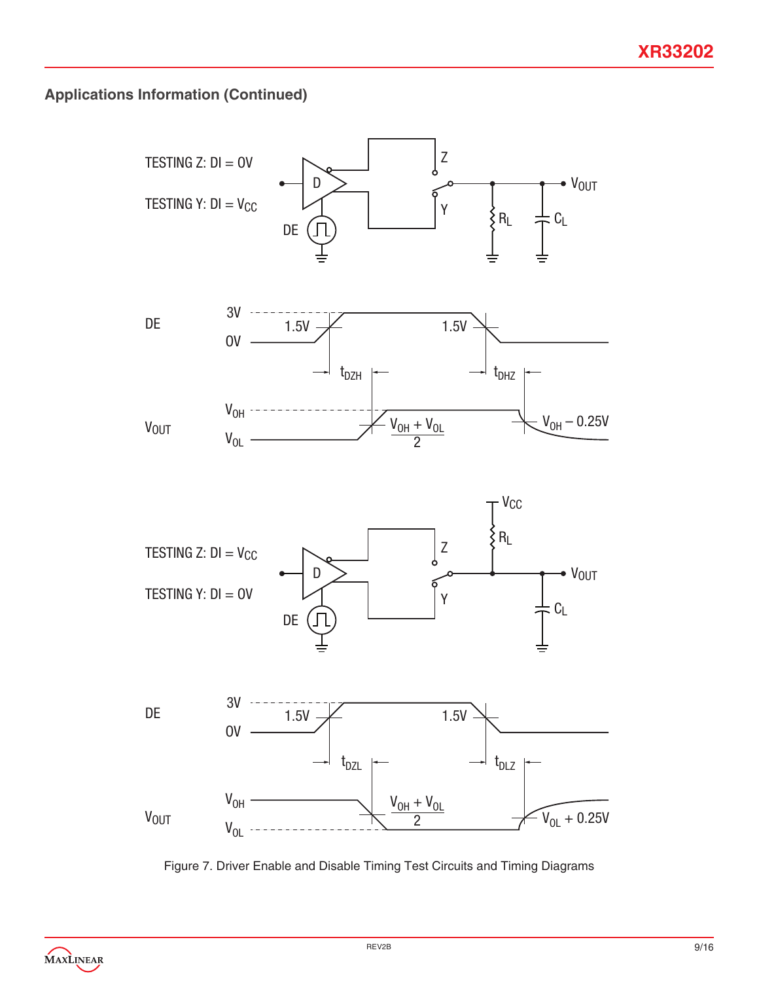

Figure 7. Driver Enable and Disable Timing Test Circuits and Timing Diagrams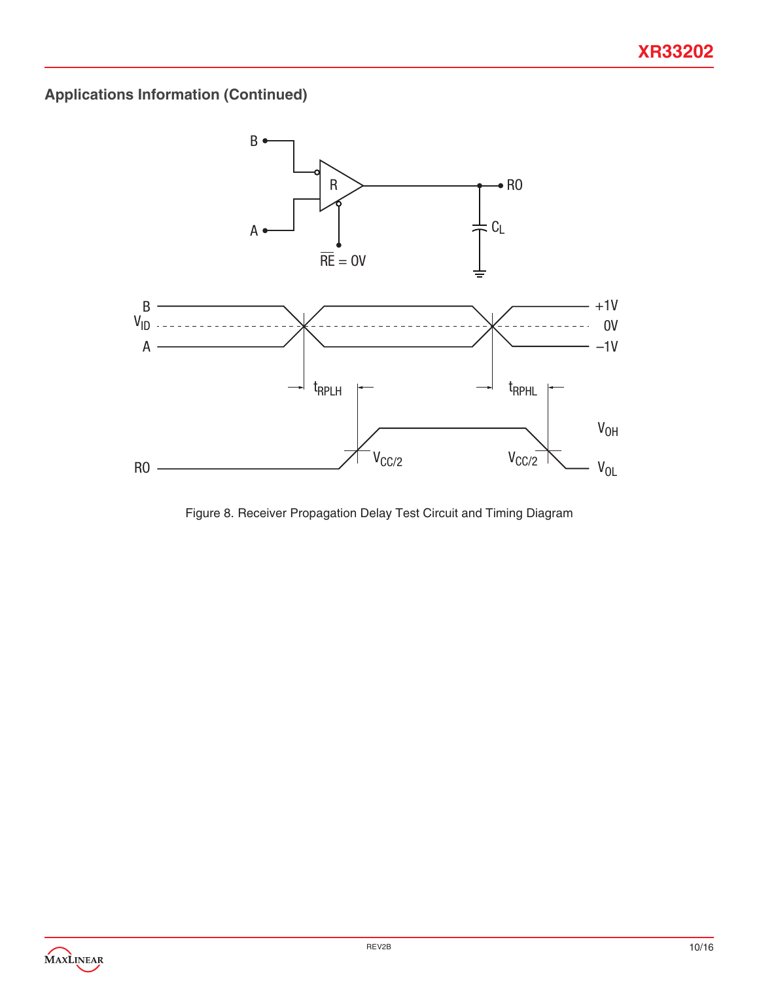

Figure 8. Receiver Propagation Delay Test Circuit and Timing Diagram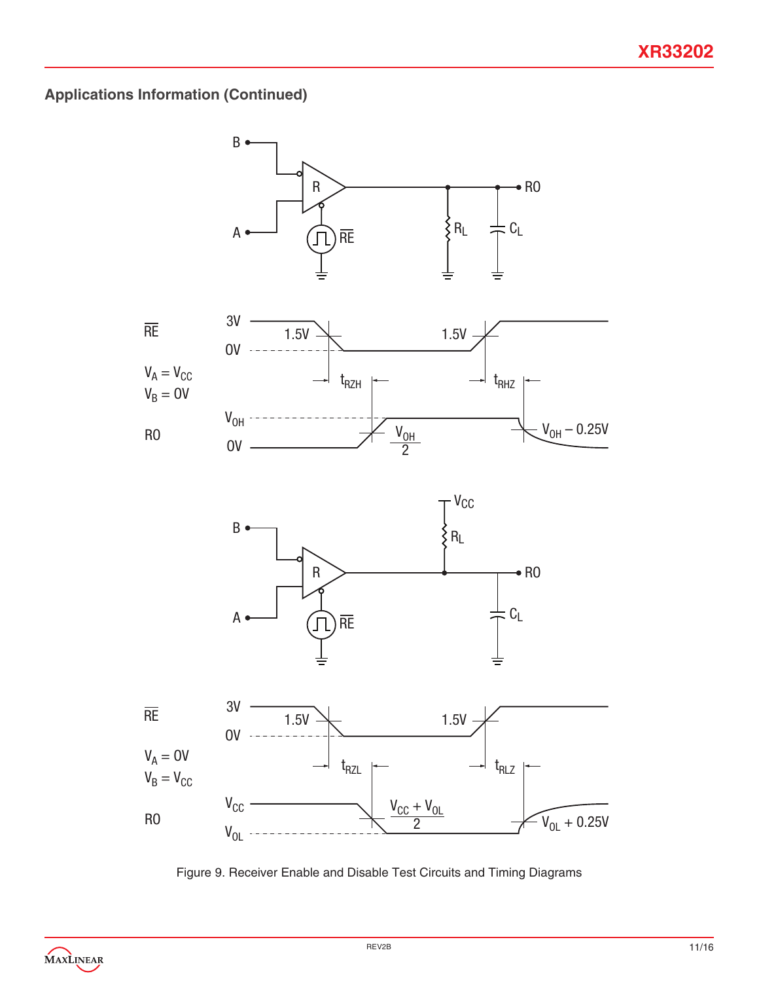

Figure 9. Receiver Enable and Disable Test Circuits and Timing Diagrams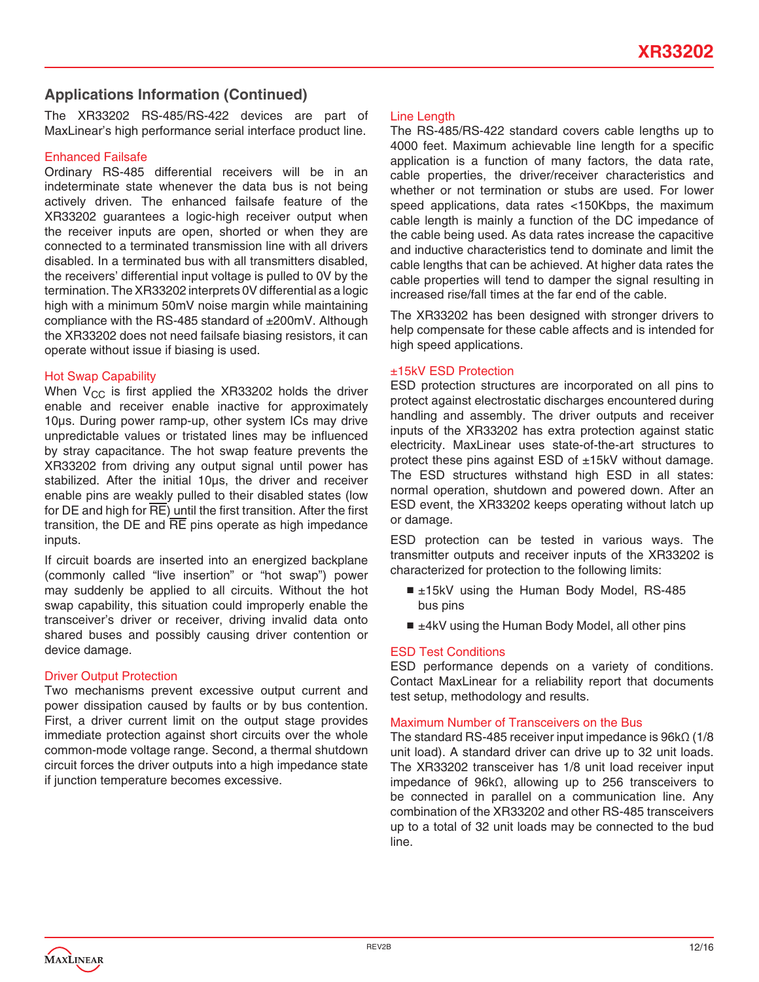The XR33202 RS-485/RS-422 devices are part of MaxLinear's high performance serial interface product line.

#### Enhanced Failsafe

Ordinary RS-485 differential receivers will be in an indeterminate state whenever the data bus is not being actively driven. The enhanced failsafe feature of the XR33202 guarantees a logic-high receiver output when the receiver inputs are open, shorted or when they are connected to a terminated transmission line with all drivers disabled. In a terminated bus with all transmitters disabled, the receivers' differential input voltage is pulled to 0V by the termination. The XR33202 interprets 0V differential as a logic high with a minimum 50mV noise margin while maintaining compliance with the RS-485 standard of ±200mV. Although the XR33202 does not need failsafe biasing resistors, it can operate without issue if biasing is used.

#### Hot Swap Capability

When  $V_{CC}$  is first applied the XR33202 holds the driver enable and receiver enable inactive for approximately 10μs. During power ramp-up, other system ICs may drive unpredictable values or tristated lines may be influenced by stray capacitance. The hot swap feature prevents the XR33202 from driving any output signal until power has stabilized. After the initial 10μs, the driver and receiver enable pins are weakly pulled to their disabled states (low for DE and high for  $\overline{RE}$ ) until the first transition. After the first transition, the  $DE$  and  $\overline{RE}$  pins operate as high impedance inputs.

If circuit boards are inserted into an energized backplane (commonly called "live insertion" or "hot swap") power may suddenly be applied to all circuits. Without the hot swap capability, this situation could improperly enable the transceiver's driver or receiver, driving invalid data onto shared buses and possibly causing driver contention or device damage.

### Driver Output Protection

Two mechanisms prevent excessive output current and power dissipation caused by faults or by bus contention. First, a driver current limit on the output stage provides immediate protection against short circuits over the whole common-mode voltage range. Second, a thermal shutdown circuit forces the driver outputs into a high impedance state if junction temperature becomes excessive.

#### Line Length

The RS-485/RS-422 standard covers cable lengths up to 4000 feet. Maximum achievable line length for a specific application is a function of many factors, the data rate, cable properties, the driver/receiver characteristics and whether or not termination or stubs are used. For lower speed applications, data rates <150Kbps, the maximum cable length is mainly a function of the DC impedance of the cable being used. As data rates increase the capacitive and inductive characteristics tend to dominate and limit the cable lengths that can be achieved. At higher data rates the cable properties will tend to damper the signal resulting in increased rise/fall times at the far end of the cable.

The XR33202 has been designed with stronger drivers to help compensate for these cable affects and is intended for high speed applications.

#### ±15kV ESD Protection

ESD protection structures are incorporated on all pins to protect against electrostatic discharges encountered during handling and assembly. The driver outputs and receiver inputs of the XR33202 has extra protection against static electricity. MaxLinear uses state-of-the-art structures to protect these pins against ESD of ±15kV without damage. The ESD structures withstand high ESD in all states: normal operation, shutdown and powered down. After an ESD event, the XR33202 keeps operating without latch up or damage.

ESD protection can be tested in various ways. The transmitter outputs and receiver inputs of the XR33202 is characterized for protection to the following limits:

- ±15kV using the Human Body Model, RS-485 bus pins
- ±4kV using the Human Body Model, all other pins

### ESD Test Conditions

ESD performance depends on a variety of conditions. Contact MaxLinear for a reliability report that documents test setup, methodology and results.

#### Maximum Number of Transceivers on the Bus

The standard RS-485 receiver input impedance is 96kΩ (1/8 unit load). A standard driver can drive up to 32 unit loads. The XR33202 transceiver has 1/8 unit load receiver input impedance of 96kΩ, allowing up to 256 transceivers to be connected in parallel on a communication line. Any combination of the XR33202 and other RS-485 transceivers up to a total of 32 unit loads may be connected to the bud line.

MAXLINEAR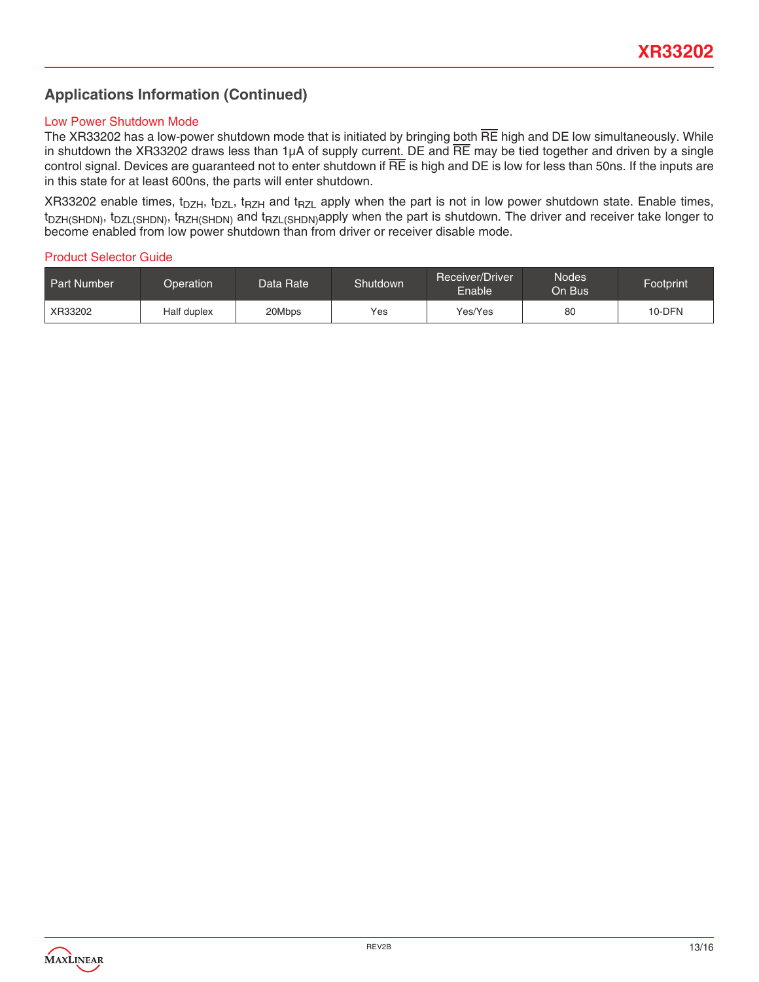#### Low Power Shutdown Mode

The XR33202 has a low-power shutdown mode that is initiated by bringing both  $\overline{RE}$  high and DE low simultaneously. While in shutdown the XR33202 draws less than  $1\mu A$  of supply current. DE and  $\overline{RE}$  may be tied together and driven by a single control signal. Devices are guaranteed not to enter shutdown if  $\overline{RE}$  is high and DE is low for less than 50ns. If the inputs are in this state for at least 600ns, the parts will enter shutdown.

XR33202 enable times, t<sub>DZH</sub>, t<sub>DZL</sub>, t<sub>RZH</sub> and t<sub>RZL</sub> apply when the part is not in low power shutdown state. Enable times, t<sub>DZH(SHDN)</sub>, t<sub>DZL(SHDN)</sub>, t<sub>RZH(SHDN)</sub> and t<sub>RZL(SHDN)</sub>apply when the part is shutdown. The driver and receiver take longer to become enabled from low power shutdown than from driver or receiver disable mode.

#### Product Selector Guide

| <b>Part Number</b> | Operation   | Data Rate | Shutdown | Receiver/Driver<br>Enable' | <b>Nodes</b><br>On Busl | Footprint |
|--------------------|-------------|-----------|----------|----------------------------|-------------------------|-----------|
| XR33202            | Half duplex | 20Mbps    | Yes      | Yes/Yes                    | 80                      | 10-DFN    |

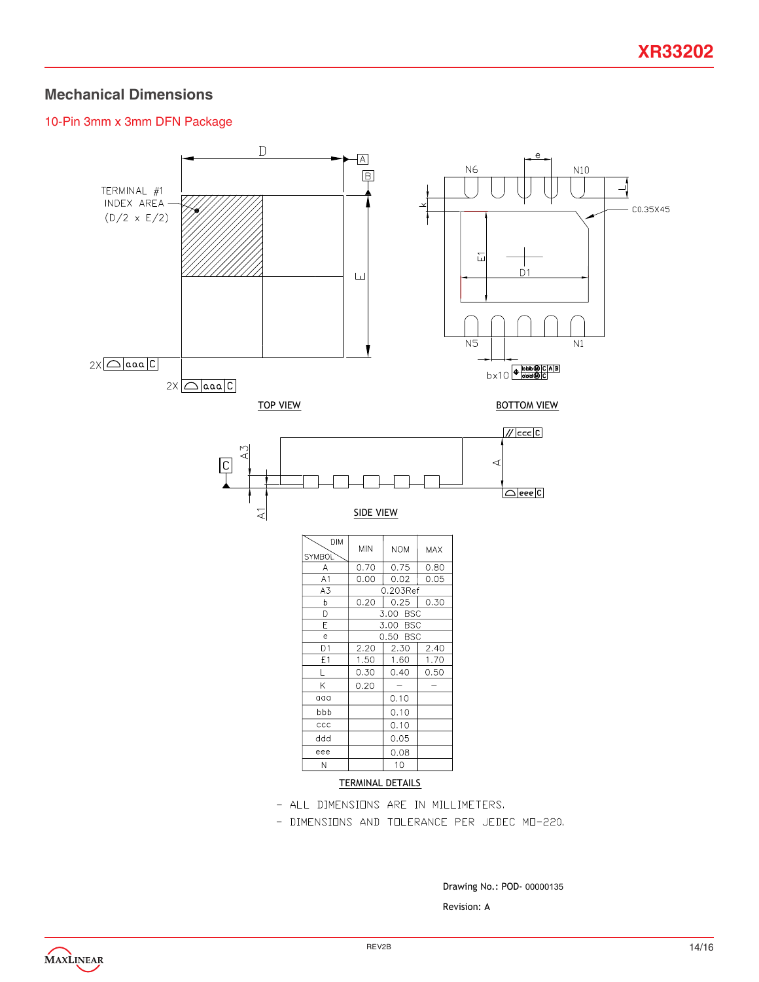### **Mechanical Dimensions**

### 10-Pin 3mm x 3mm DFN Package



Drawing No.: POD-00000135

Revision: A

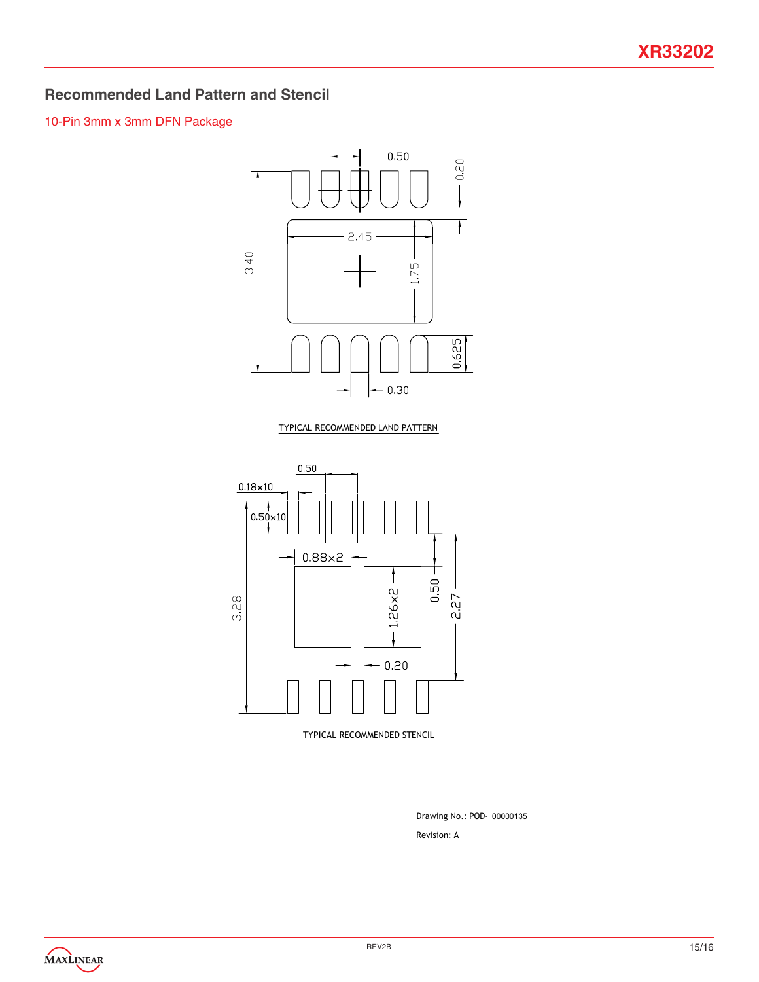### **Recommended Land Pattern and Stencil**

### 10-Pin 3mm x 3mm DFN Package



TYPICAL RECOMMENDED LAND PATTERN



Revision: A Drawing No.: POD-00000135